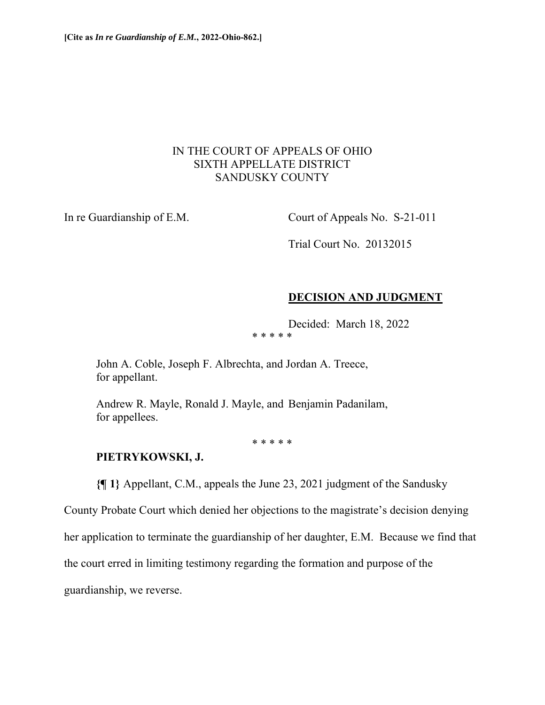## IN THE COURT OF APPEALS OF OHIO SIXTH APPELLATE DISTRICT SANDUSKY COUNTY

In re Guardianship of E.M. Court of Appeals No. S-21-011

Trial Court No. 20132015

# **DECISION AND JUDGMENT**

Decided: March 18, 2022

\* \* \* \* \*

 John A. Coble, Joseph F. Albrechta, and Jordan A. Treece, for appellant.

 Andrew R. Mayle, Ronald J. Mayle, and Benjamin Padanilam, for appellees.

\* \* \* \* \*

## **PIETRYKOWSKI, J.**

**{¶ 1}** Appellant, C.M., appeals the June 23, 2021 judgment of the Sandusky

County Probate Court which denied her objections to the magistrate's decision denying

her application to terminate the guardianship of her daughter, E.M. Because we find that

the court erred in limiting testimony regarding the formation and purpose of the

guardianship, we reverse.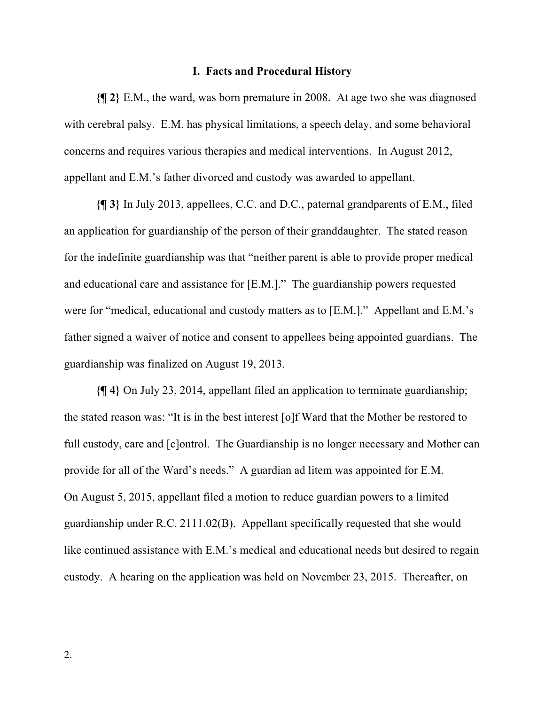#### **I. Facts and Procedural History**

**{¶ 2}** E.M., the ward, was born premature in 2008. At age two she was diagnosed with cerebral palsy. E.M. has physical limitations, a speech delay, and some behavioral concerns and requires various therapies and medical interventions. In August 2012, appellant and E.M.'s father divorced and custody was awarded to appellant.

**{¶ 3}** In July 2013, appellees, C.C. and D.C., paternal grandparents of E.M., filed an application for guardianship of the person of their granddaughter. The stated reason for the indefinite guardianship was that "neither parent is able to provide proper medical and educational care and assistance for [E.M.]." The guardianship powers requested were for "medical, educational and custody matters as to [E.M.]." Appellant and E.M.'s father signed a waiver of notice and consent to appellees being appointed guardians. The guardianship was finalized on August 19, 2013.

**{¶ 4}** On July 23, 2014, appellant filed an application to terminate guardianship; the stated reason was: "It is in the best interest [o]f Ward that the Mother be restored to full custody, care and [c]ontrol. The Guardianship is no longer necessary and Mother can provide for all of the Ward's needs." A guardian ad litem was appointed for E.M. On August 5, 2015, appellant filed a motion to reduce guardian powers to a limited guardianship under R.C. 2111.02(B). Appellant specifically requested that she would like continued assistance with E.M.'s medical and educational needs but desired to regain custody. A hearing on the application was held on November 23, 2015. Thereafter, on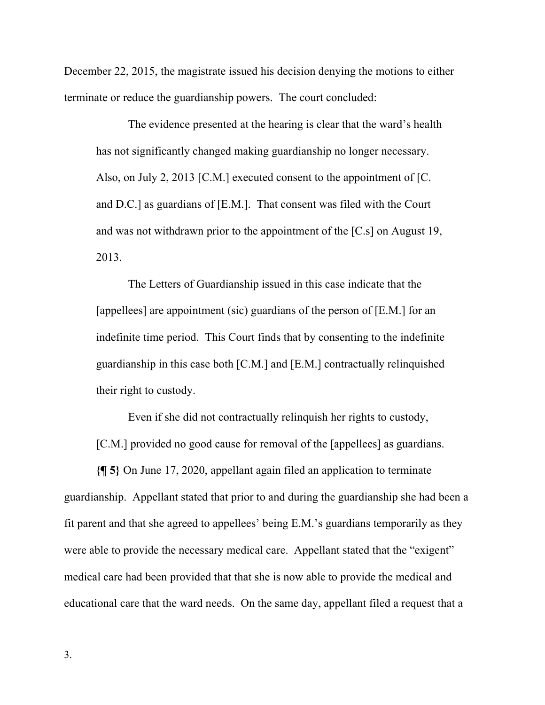December 22, 2015, the magistrate issued his decision denying the motions to either terminate or reduce the guardianship powers. The court concluded:

The evidence presented at the hearing is clear that the ward's health has not significantly changed making guardianship no longer necessary. Also, on July 2, 2013 [C.M.] executed consent to the appointment of [C. and D.C.] as guardians of [E.M.]. That consent was filed with the Court and was not withdrawn prior to the appointment of the [C.s] on August 19, 2013.

The Letters of Guardianship issued in this case indicate that the [appellees] are appointment (sic) guardians of the person of [E.M.] for an indefinite time period. This Court finds that by consenting to the indefinite guardianship in this case both [C.M.] and [E.M.] contractually relinquished their right to custody.

Even if she did not contractually relinquish her rights to custody, [C.M.] provided no good cause for removal of the [appellees] as guardians.

**{¶ 5}** On June 17, 2020, appellant again filed an application to terminate guardianship. Appellant stated that prior to and during the guardianship she had been a fit parent and that she agreed to appellees' being E.M.'s guardians temporarily as they were able to provide the necessary medical care. Appellant stated that the "exigent" medical care had been provided that that she is now able to provide the medical and educational care that the ward needs. On the same day, appellant filed a request that a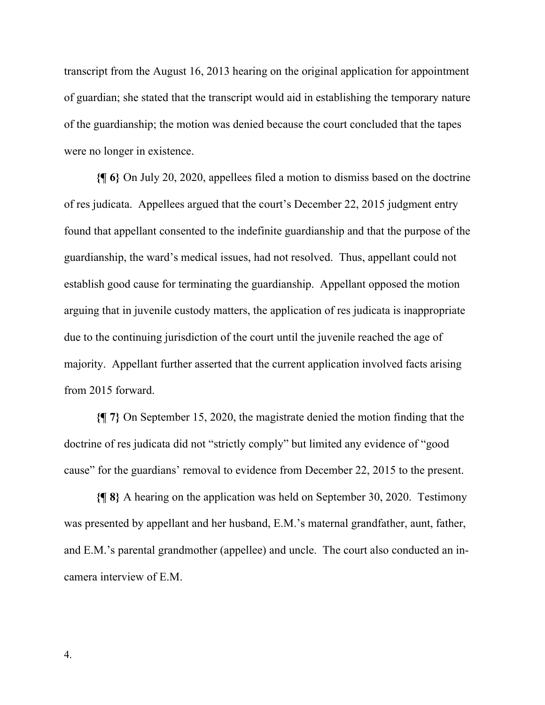transcript from the August 16, 2013 hearing on the original application for appointment of guardian; she stated that the transcript would aid in establishing the temporary nature of the guardianship; the motion was denied because the court concluded that the tapes were no longer in existence.

**{¶ 6}** On July 20, 2020, appellees filed a motion to dismiss based on the doctrine of res judicata. Appellees argued that the court's December 22, 2015 judgment entry found that appellant consented to the indefinite guardianship and that the purpose of the guardianship, the ward's medical issues, had not resolved. Thus, appellant could not establish good cause for terminating the guardianship. Appellant opposed the motion arguing that in juvenile custody matters, the application of res judicata is inappropriate due to the continuing jurisdiction of the court until the juvenile reached the age of majority. Appellant further asserted that the current application involved facts arising from 2015 forward.

**{¶ 7}** On September 15, 2020, the magistrate denied the motion finding that the doctrine of res judicata did not "strictly comply" but limited any evidence of "good cause" for the guardians' removal to evidence from December 22, 2015 to the present.

**{¶ 8}** A hearing on the application was held on September 30, 2020. Testimony was presented by appellant and her husband, E.M.'s maternal grandfather, aunt, father, and E.M.'s parental grandmother (appellee) and uncle. The court also conducted an incamera interview of E.M.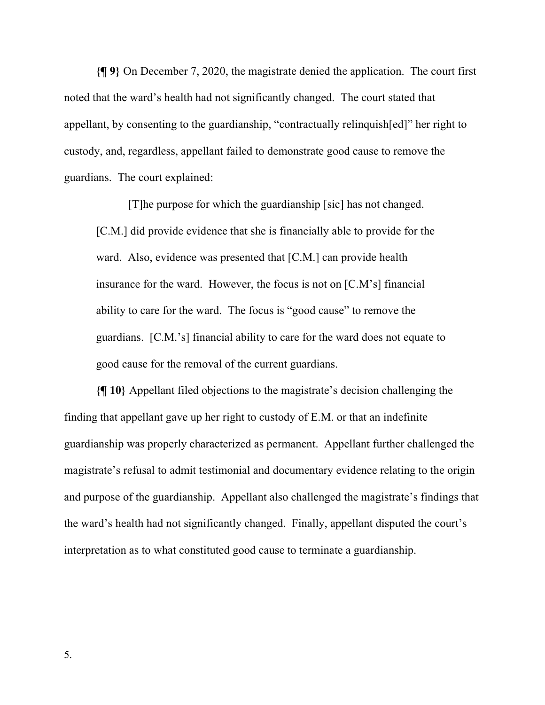**{¶ 9}** On December 7, 2020, the magistrate denied the application. The court first noted that the ward's health had not significantly changed. The court stated that appellant, by consenting to the guardianship, "contractually relinquish[ed]" her right to custody, and, regardless, appellant failed to demonstrate good cause to remove the guardians. The court explained:

[T]he purpose for which the guardianship [sic] has not changed. [C.M.] did provide evidence that she is financially able to provide for the ward. Also, evidence was presented that [C.M.] can provide health insurance for the ward. However, the focus is not on [C.M's] financial ability to care for the ward. The focus is "good cause" to remove the guardians. [C.M.'s] financial ability to care for the ward does not equate to good cause for the removal of the current guardians.

**{¶ 10}** Appellant filed objections to the magistrate's decision challenging the finding that appellant gave up her right to custody of E.M. or that an indefinite guardianship was properly characterized as permanent. Appellant further challenged the magistrate's refusal to admit testimonial and documentary evidence relating to the origin and purpose of the guardianship. Appellant also challenged the magistrate's findings that the ward's health had not significantly changed. Finally, appellant disputed the court's interpretation as to what constituted good cause to terminate a guardianship.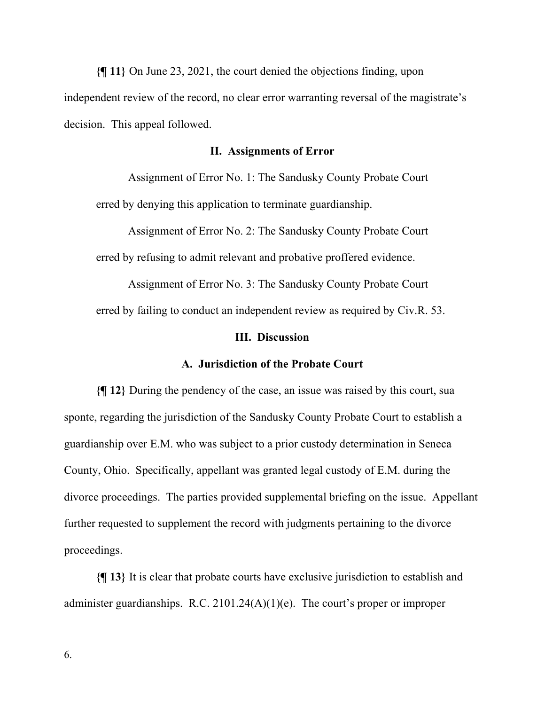**{¶ 11}** On June 23, 2021, the court denied the objections finding, upon independent review of the record, no clear error warranting reversal of the magistrate's decision. This appeal followed.

#### **II. Assignments of Error**

Assignment of Error No. 1: The Sandusky County Probate Court erred by denying this application to terminate guardianship.

Assignment of Error No. 2: The Sandusky County Probate Court erred by refusing to admit relevant and probative proffered evidence.

Assignment of Error No. 3: The Sandusky County Probate Court erred by failing to conduct an independent review as required by Civ.R. 53.

### **III. Discussion**

### **A. Jurisdiction of the Probate Court**

**{¶ 12}** During the pendency of the case, an issue was raised by this court, sua sponte, regarding the jurisdiction of the Sandusky County Probate Court to establish a guardianship over E.M. who was subject to a prior custody determination in Seneca County, Ohio. Specifically, appellant was granted legal custody of E.M. during the divorce proceedings. The parties provided supplemental briefing on the issue. Appellant further requested to supplement the record with judgments pertaining to the divorce proceedings.

**{¶ 13}** It is clear that probate courts have exclusive jurisdiction to establish and administer guardianships. R.C.  $2101.24(A)(1)(e)$ . The court's proper or improper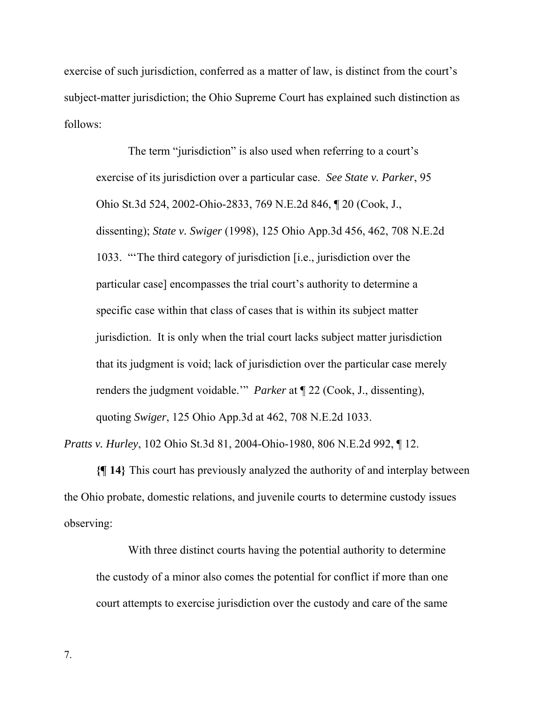exercise of such jurisdiction, conferred as a matter of law, is distinct from the court's subject-matter jurisdiction; the Ohio Supreme Court has explained such distinction as follows:

The term "jurisdiction" is also used when referring to a court's exercise of its jurisdiction over a particular case. *See State v. Parker*, 95 Ohio St.3d 524, 2002-Ohio-2833, 769 N.E.2d 846, ¶ 20 (Cook, J., dissenting); *State v. Swiger* (1998), 125 Ohio App.3d 456, 462, 708 N.E.2d 1033. "'The third category of jurisdiction [i.e., jurisdiction over the particular case] encompasses the trial court's authority to determine a specific case within that class of cases that is within its subject matter jurisdiction. It is only when the trial court lacks subject matter jurisdiction that its judgment is void; lack of jurisdiction over the particular case merely renders the judgment voidable.'" *Parker* at ¶ 22 (Cook, J., dissenting), quoting *Swiger*, 125 Ohio App.3d at 462, 708 N.E.2d 1033.

*Pratts v. Hurley*, 102 Ohio St.3d 81, 2004-Ohio-1980, 806 N.E.2d 992, ¶ 12.

**{¶ 14}** This court has previously analyzed the authority of and interplay between the Ohio probate, domestic relations, and juvenile courts to determine custody issues observing:

With three distinct courts having the potential authority to determine the custody of a minor also comes the potential for conflict if more than one court attempts to exercise jurisdiction over the custody and care of the same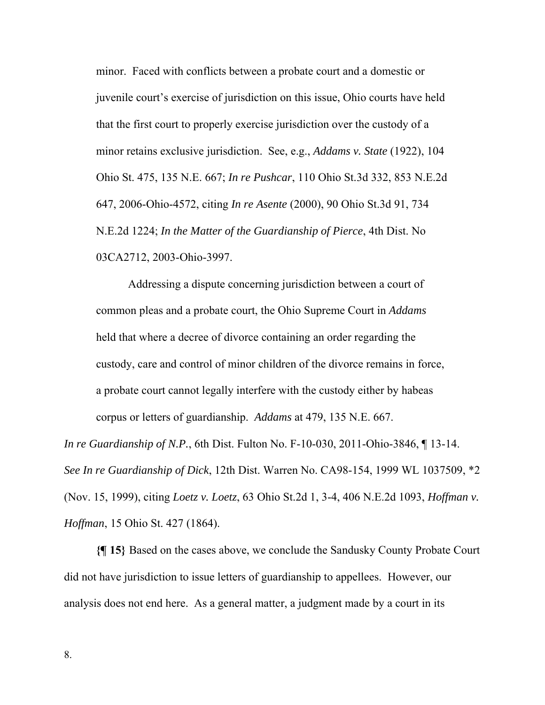minor. Faced with conflicts between a probate court and a domestic or juvenile court's exercise of jurisdiction on this issue, Ohio courts have held that the first court to properly exercise jurisdiction over the custody of a minor retains exclusive jurisdiction. See, e.g., *Addams v. State* (1922), 104 Ohio St. 475, 135 N.E. 667; *In re Pushcar*, 110 Ohio St.3d 332, 853 N.E.2d 647, 2006-Ohio-4572, citing *In re Asente* (2000), 90 Ohio St.3d 91, 734 N.E.2d 1224; *In the Matter of the Guardianship of Pierce*, 4th Dist. No 03CA2712, 2003-Ohio-3997.

Addressing a dispute concerning jurisdiction between a court of common pleas and a probate court, the Ohio Supreme Court in *Addams* held that where a decree of divorce containing an order regarding the custody, care and control of minor children of the divorce remains in force, a probate court cannot legally interfere with the custody either by habeas corpus or letters of guardianship. *Addams* at 479, 135 N.E. 667.

*In re Guardianship of N.P.*, 6th Dist. Fulton No. F-10-030, 2011-Ohio-3846, ¶ 13-14. *See In re Guardianship of Dick*, 12th Dist. Warren No. CA98-154, 1999 WL 1037509, \*2 (Nov. 15, 1999), citing *Loetz v. Loetz*, 63 Ohio St.2d 1, 3-4, 406 N.E.2d 1093, *Hoffman v. Hoffman*, 15 Ohio St. 427 (1864).

**{¶ 15}** Based on the cases above, we conclude the Sandusky County Probate Court did not have jurisdiction to issue letters of guardianship to appellees. However, our analysis does not end here. As a general matter, a judgment made by a court in its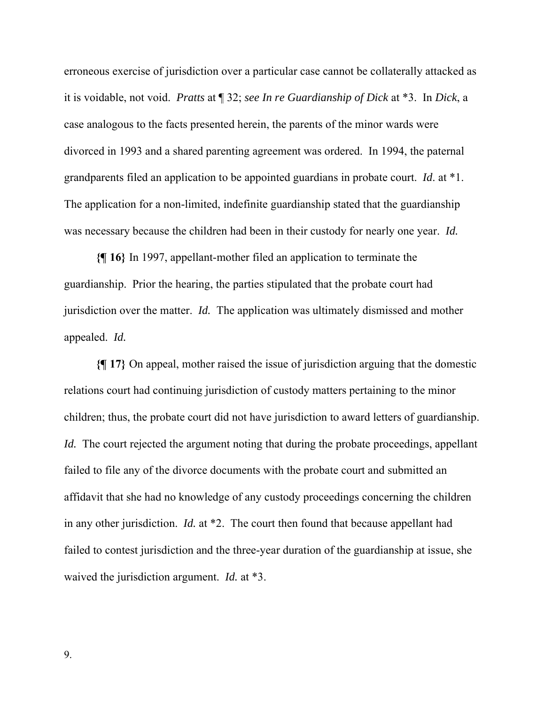erroneous exercise of jurisdiction over a particular case cannot be collaterally attacked as it is voidable, not void. *Pratts* at ¶ 32; *see In re Guardianship of Dick* at \*3. In *Dick*, a case analogous to the facts presented herein, the parents of the minor wards were divorced in 1993 and a shared parenting agreement was ordered. In 1994, the paternal grandparents filed an application to be appointed guardians in probate court. *Id*. at \*1. The application for a non-limited, indefinite guardianship stated that the guardianship was necessary because the children had been in their custody for nearly one year. *Id.*

**{¶ 16}** In 1997, appellant-mother filed an application to terminate the guardianship. Prior the hearing, the parties stipulated that the probate court had jurisdiction over the matter. *Id.* The application was ultimately dismissed and mother appealed. *Id.*

**{¶ 17}** On appeal, mother raised the issue of jurisdiction arguing that the domestic relations court had continuing jurisdiction of custody matters pertaining to the minor children; thus, the probate court did not have jurisdiction to award letters of guardianship. *Id.* The court rejected the argument noting that during the probate proceedings, appellant failed to file any of the divorce documents with the probate court and submitted an affidavit that she had no knowledge of any custody proceedings concerning the children in any other jurisdiction. *Id.* at \*2. The court then found that because appellant had failed to contest jurisdiction and the three-year duration of the guardianship at issue, she waived the jurisdiction argument. *Id.* at \*3.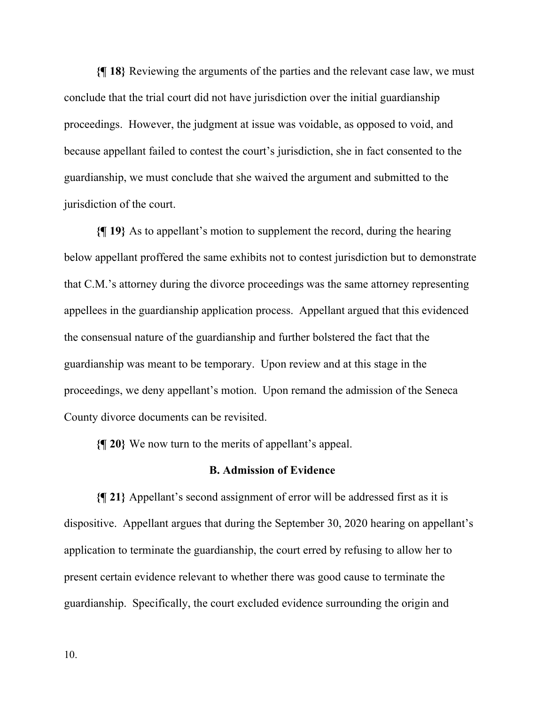**{¶ 18}** Reviewing the arguments of the parties and the relevant case law, we must conclude that the trial court did not have jurisdiction over the initial guardianship proceedings. However, the judgment at issue was voidable, as opposed to void, and because appellant failed to contest the court's jurisdiction, she in fact consented to the guardianship, we must conclude that she waived the argument and submitted to the jurisdiction of the court.

**{¶ 19}** As to appellant's motion to supplement the record, during the hearing below appellant proffered the same exhibits not to contest jurisdiction but to demonstrate that C.M.'s attorney during the divorce proceedings was the same attorney representing appellees in the guardianship application process. Appellant argued that this evidenced the consensual nature of the guardianship and further bolstered the fact that the guardianship was meant to be temporary. Upon review and at this stage in the proceedings, we deny appellant's motion. Upon remand the admission of the Seneca County divorce documents can be revisited.

**{¶ 20}** We now turn to the merits of appellant's appeal.

## **B. Admission of Evidence**

**{¶ 21}** Appellant's second assignment of error will be addressed first as it is dispositive. Appellant argues that during the September 30, 2020 hearing on appellant's application to terminate the guardianship, the court erred by refusing to allow her to present certain evidence relevant to whether there was good cause to terminate the guardianship. Specifically, the court excluded evidence surrounding the origin and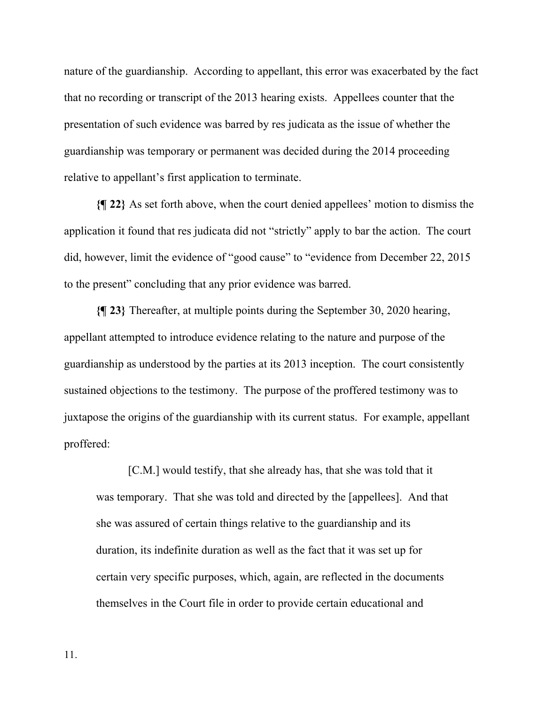nature of the guardianship. According to appellant, this error was exacerbated by the fact that no recording or transcript of the 2013 hearing exists. Appellees counter that the presentation of such evidence was barred by res judicata as the issue of whether the guardianship was temporary or permanent was decided during the 2014 proceeding relative to appellant's first application to terminate.

**{¶ 22}** As set forth above, when the court denied appellees' motion to dismiss the application it found that res judicata did not "strictly" apply to bar the action. The court did, however, limit the evidence of "good cause" to "evidence from December 22, 2015 to the present" concluding that any prior evidence was barred.

**{¶ 23}** Thereafter, at multiple points during the September 30, 2020 hearing, appellant attempted to introduce evidence relating to the nature and purpose of the guardianship as understood by the parties at its 2013 inception. The court consistently sustained objections to the testimony. The purpose of the proffered testimony was to juxtapose the origins of the guardianship with its current status. For example, appellant proffered:

[C.M.] would testify, that she already has, that she was told that it was temporary. That she was told and directed by the [appellees]. And that she was assured of certain things relative to the guardianship and its duration, its indefinite duration as well as the fact that it was set up for certain very specific purposes, which, again, are reflected in the documents themselves in the Court file in order to provide certain educational and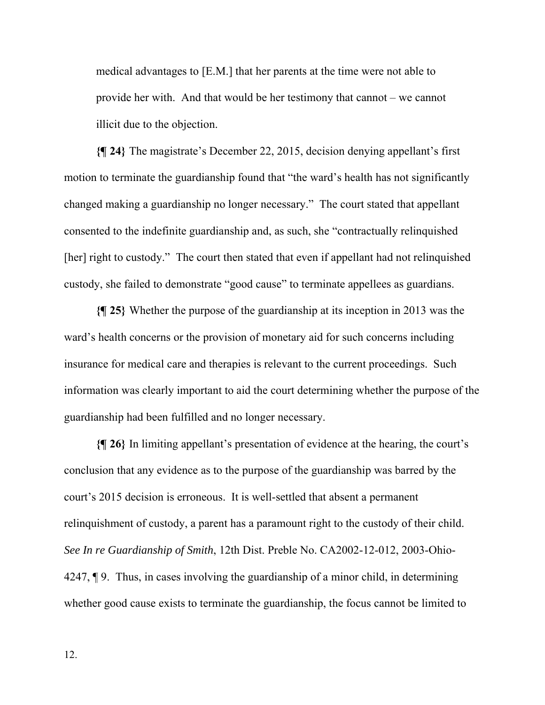medical advantages to [E.M.] that her parents at the time were not able to provide her with. And that would be her testimony that cannot – we cannot illicit due to the objection.

**{¶ 24}** The magistrate's December 22, 2015, decision denying appellant's first motion to terminate the guardianship found that "the ward's health has not significantly changed making a guardianship no longer necessary." The court stated that appellant consented to the indefinite guardianship and, as such, she "contractually relinquished [her] right to custody." The court then stated that even if appellant had not relinquished custody, she failed to demonstrate "good cause" to terminate appellees as guardians.

**{¶ 25}** Whether the purpose of the guardianship at its inception in 2013 was the ward's health concerns or the provision of monetary aid for such concerns including insurance for medical care and therapies is relevant to the current proceedings. Such information was clearly important to aid the court determining whether the purpose of the guardianship had been fulfilled and no longer necessary.

**{¶ 26}** In limiting appellant's presentation of evidence at the hearing, the court's conclusion that any evidence as to the purpose of the guardianship was barred by the court's 2015 decision is erroneous. It is well-settled that absent a permanent relinquishment of custody, a parent has a paramount right to the custody of their child. *See In re Guardianship of Smith*, 12th Dist. Preble No. CA2002-12-012, 2003-Ohio-4247, ¶ 9. Thus, in cases involving the guardianship of a minor child, in determining whether good cause exists to terminate the guardianship, the focus cannot be limited to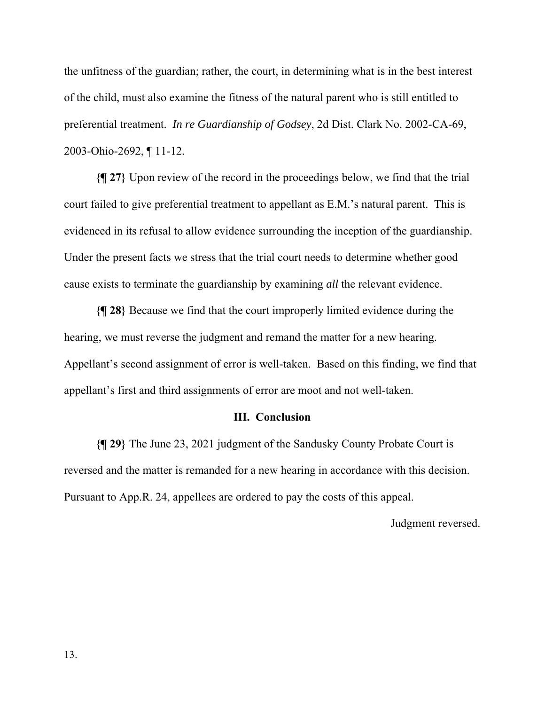the unfitness of the guardian; rather, the court, in determining what is in the best interest of the child, must also examine the fitness of the natural parent who is still entitled to preferential treatment. *In re Guardianship of Godsey*, 2d Dist. Clark No. 2002-CA-69, 2003-Ohio-2692, ¶ 11-12.

**{¶ 27}** Upon review of the record in the proceedings below, we find that the trial court failed to give preferential treatment to appellant as E.M.'s natural parent. This is evidenced in its refusal to allow evidence surrounding the inception of the guardianship. Under the present facts we stress that the trial court needs to determine whether good cause exists to terminate the guardianship by examining *all* the relevant evidence.

**{¶ 28}** Because we find that the court improperly limited evidence during the hearing, we must reverse the judgment and remand the matter for a new hearing. Appellant's second assignment of error is well-taken. Based on this finding, we find that appellant's first and third assignments of error are moot and not well-taken.

### **III. Conclusion**

**{¶ 29}** The June 23, 2021 judgment of the Sandusky County Probate Court is reversed and the matter is remanded for a new hearing in accordance with this decision. Pursuant to App.R. 24, appellees are ordered to pay the costs of this appeal.

Judgment reversed.